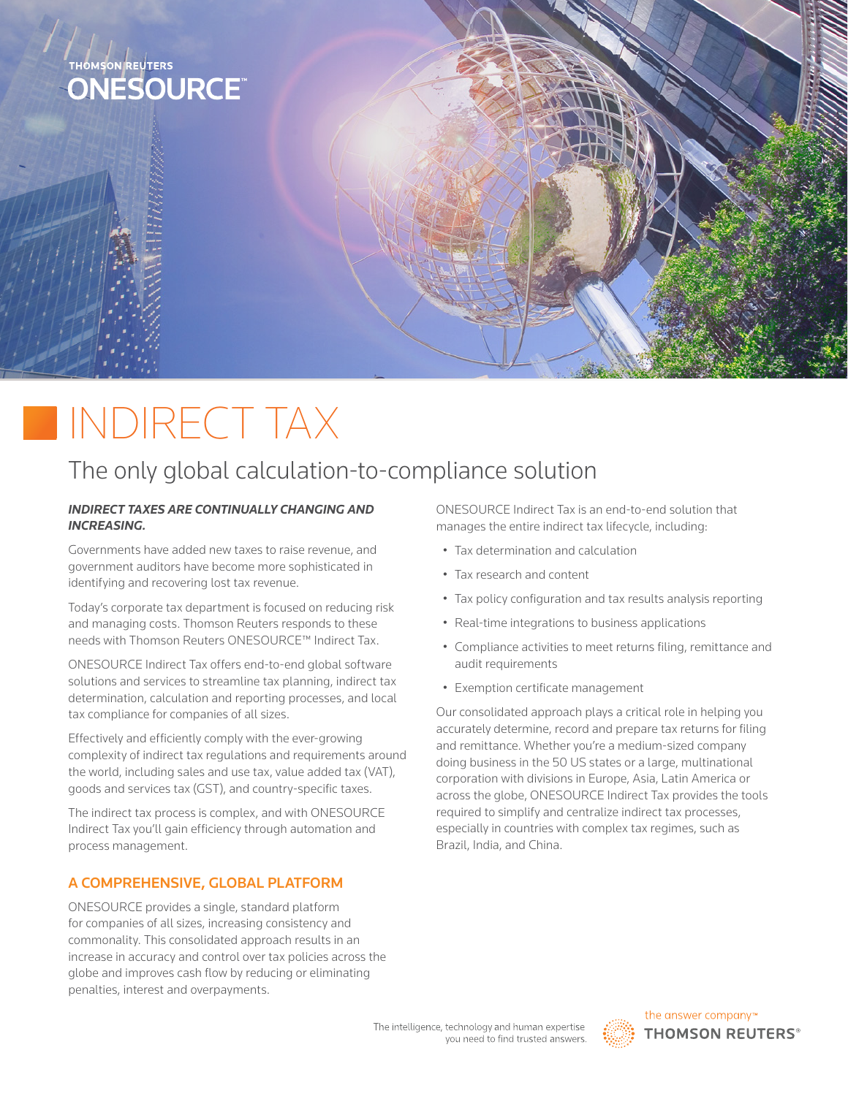

# INDIRECT TAX

# The only global calculation-to-compliance solution

#### *INDIRECT TAXES ARE CONTINUALLY CHANGING AND INCREASING.*

Governments have added new taxes to raise revenue, and government auditors have become more sophisticated in identifying and recovering lost tax revenue.

Today's corporate tax department is focused on reducing risk and managing costs. Thomson Reuters responds to these needs with Thomson Reuters ONESOURCE™ Indirect Tax.

ONESOURCE Indirect Tax offers end-to-end global software solutions and services to streamline tax planning, indirect tax determination, calculation and reporting processes, and local tax compliance for companies of all sizes.

Effectively and efficiently comply with the ever-growing complexity of indirect tax regulations and requirements around the world, including sales and use tax, value added tax (VAT), goods and services tax (GST), and country-specific taxes.

The indirect tax process is complex, and with ONESOURCE Indirect Tax you'll gain efficiency through automation and process management.

## A COMPREHENSIVE, GLOBAL PLATFORM

ONESOURCE provides a single, standard platform for companies of all sizes, increasing consistency and commonality. This consolidated approach results in an increase in accuracy and control over tax policies across the globe and improves cash flow by reducing or eliminating penalties, interest and overpayments.

ONESOURCE Indirect Tax is an end-to-end solution that manages the entire indirect tax lifecycle, including:

- Tax determination and calculation
- Tax research and content
- Tax policy configuration and tax results analysis reporting
- Real-time integrations to business applications
- Compliance activities to meet returns filing, remittance and audit requirements
- Exemption certificate management

Our consolidated approach plays a critical role in helping you accurately determine, record and prepare tax returns for filing and remittance. Whether you're a medium-sized company doing business in the 50 US states or a large, multinational corporation with divisions in Europe, Asia, Latin America or across the globe, ONESOURCE Indirect Tax provides the tools required to simplify and centralize indirect tax processes, especially in countries with complex tax regimes, such as Brazil, India, and China.

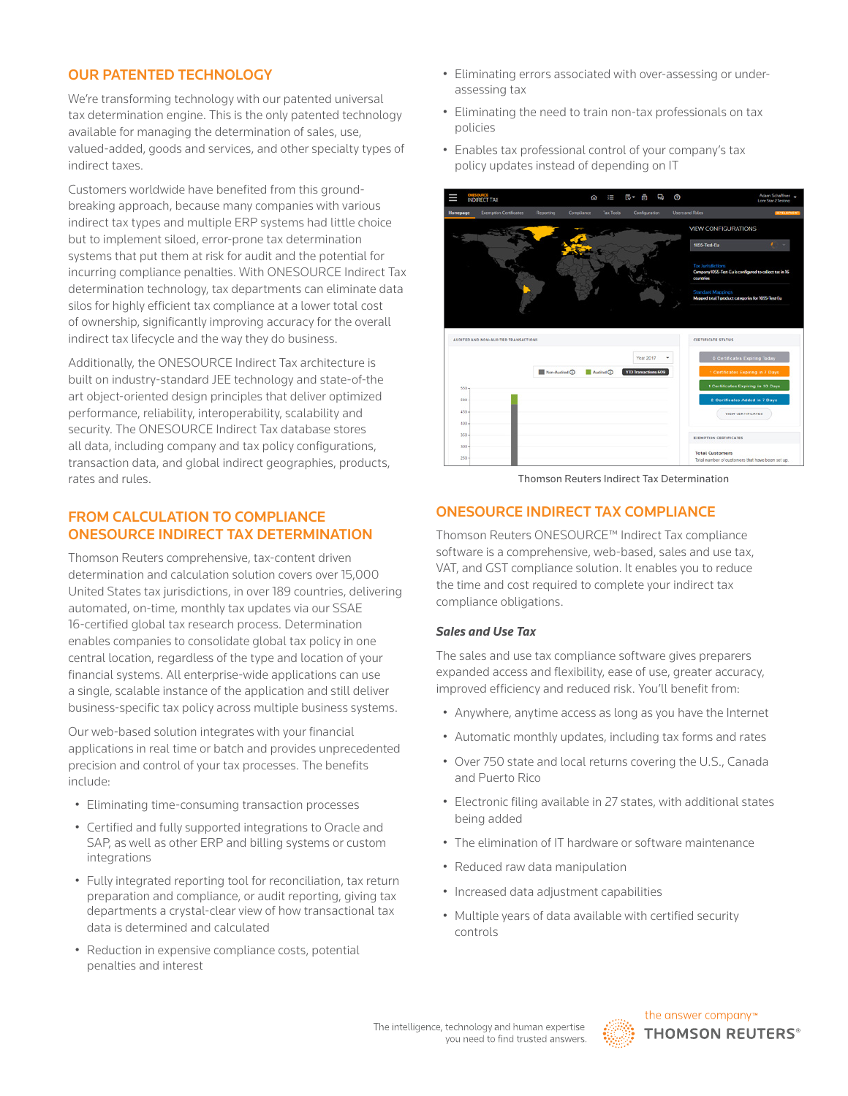#### OUR PATENTED TECHNOLOGY

We're transforming technology with our patented universal tax determination engine. This is the only patented technology available for managing the determination of sales, use, valued-added, goods and services, and other specialty types of indirect taxes.

Customers worldwide have benefited from this groundbreaking approach, because many companies with various indirect tax types and multiple ERP systems had little choice but to implement siloed, error-prone tax determination systems that put them at risk for audit and the potential for incurring compliance penalties. With ONESOURCE Indirect Tax determination technology, tax departments can eliminate data silos for highly efficient tax compliance at a lower total cost of ownership, significantly improving accuracy for the overall indirect tax lifecycle and the way they do business.

Additionally, the ONESOURCE Indirect Tax architecture is built on industry-standard JEE technology and state-of-the art object-oriented design principles that deliver optimized performance, reliability, interoperability, scalability and security. The ONESOURCE Indirect Tax database stores all data, including company and tax policy configurations, transaction data, and global indirect geographies, products, rates and rules.

#### FROM CALCULATION TO COMPLIANCE ONESOURCE INDIRECT TAX DETERMINATION

Thomson Reuters comprehensive, tax-content driven determination and calculation solution covers over 15,000 United States tax jurisdictions, in over 189 countries, delivering automated, on-time, monthly tax updates via our SSAE 16-certified global tax research process. Determination enables companies to consolidate global tax policy in one central location, regardless of the type and location of your financial systems. All enterprise-wide applications can use a single, scalable instance of the application and still deliver business-specific tax policy across multiple business systems.

Our web-based solution integrates with your financial applications in real time or batch and provides unprecedented precision and control of your tax processes. The benefits include:

- Eliminating time-consuming transaction processes
- Certified and fully supported integrations to Oracle and SAP, as well as other ERP and billing systems or custom integrations
- Fully integrated reporting tool for reconciliation, tax return preparation and compliance, or audit reporting, giving tax departments a crystal-clear view of how transactional tax data is determined and calculated
- Reduction in expensive compliance costs, potential penalties and interest
- Eliminating errors associated with over-assessing or underassessing tax
- Eliminating the need to train non-tax professionals on tax policies
- Enables tax professional control of your company's tax policy updates instead of depending on IT



Thomson Reuters Indirect Tax Determination

#### ONESOURCE INDIRECT TAX COMPLIANCE

Thomson Reuters ONESOURCE™ Indirect Tax compliance software is a comprehensive, web-based, sales and use tax, VAT, and GST compliance solution. It enables you to reduce the time and cost required to complete your indirect tax compliance obligations.

#### *Sales and Use Tax*

The sales and use tax compliance software gives preparers expanded access and flexibility, ease of use, greater accuracy, improved efficiency and reduced risk. You'll benefit from:

- Anywhere, anytime access as long as you have the Internet
- Automatic monthly updates, including tax forms and rates
- Over 750 state and local returns covering the U.S., Canada and Puerto Rico
- Electronic filing available in 27 states, with additional states being added
- The elimination of IT hardware or software maintenance
- Reduced raw data manipulation
- Increased data adjustment capabilities
- Multiple years of data available with certified security controls

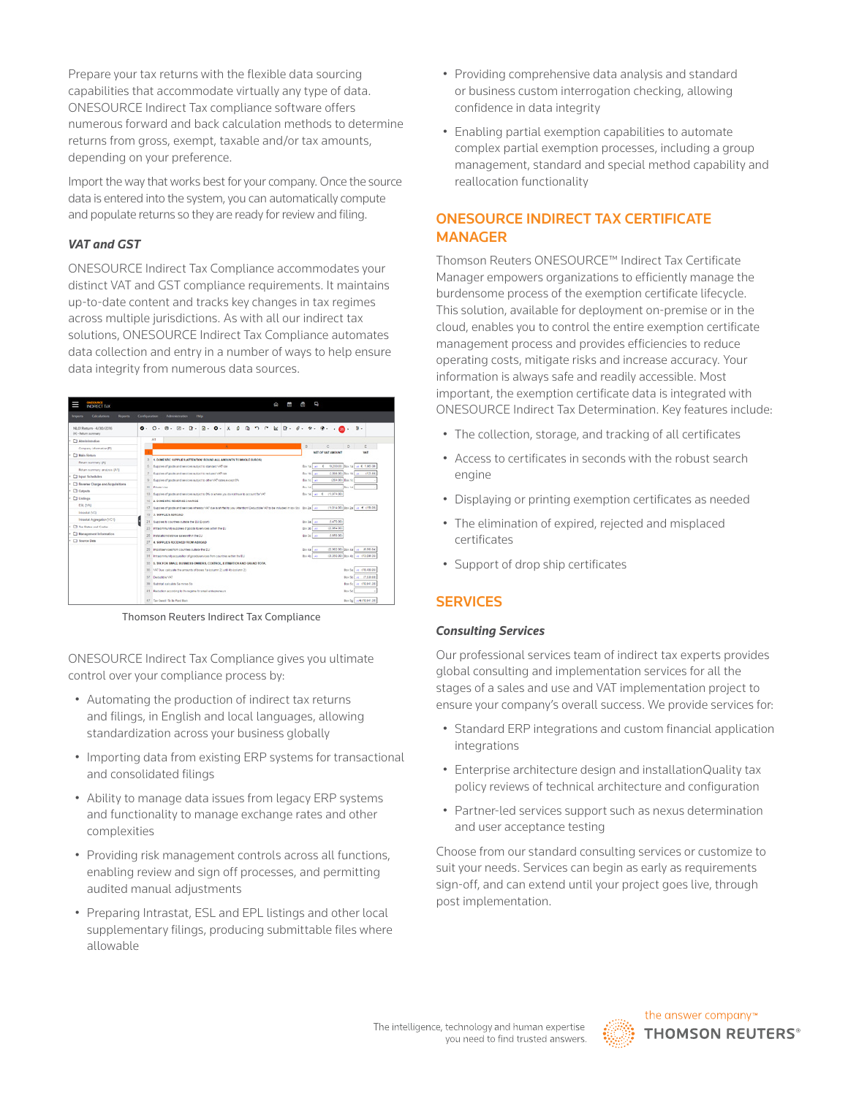Prepare your tax returns with the flexible data sourcing capabilities that accommodate virtually any type of data. ONESOURCE Indirect Tax compliance software offers numerous forward and back calculation methods to determine returns from gross, exempt, taxable and/or tax amounts, depending on your preference.

Import the way that works best for your company. Once the source data is entered into the system, you can automatically compute and populate returns so they are ready for review and filing.

#### *VAT and GST*

ONESOURCE Indirect Tax Compliance accommodates your distinct VAT and GST compliance requirements. It maintains up-to-date content and tracks key changes in tax regimes across multiple jurisdictions. As with all our indirect tax solutions, ONESOURCE Indirect Tax Compliance automates data collection and entry in a number of ways to help ensure data integrity from numerous data sources.



Thomson Reuters Indirect Tax Compliance

ONESOURCE Indirect Tax Compliance gives you ultimate control over your compliance process by:

- Automating the production of indirect tax returns and filings, in English and local languages, allowing standardization across your business globally
- Importing data from existing ERP systems for transactional and consolidated filings
- Ability to manage data issues from legacy ERP systems and functionality to manage exchange rates and other complexities
- Providing risk management controls across all functions, enabling review and sign off processes, and permitting audited manual adjustments
- Preparing Intrastat, ESL and EPL listings and other local supplementary filings, producing submittable files where allowable
- Providing comprehensive data analysis and standard or business custom interrogation checking, allowing confidence in data integrity
- Enabling partial exemption capabilities to automate complex partial exemption processes, including a group management, standard and special method capability and reallocation functionality

### ONESOURCE INDIRECT TAX CERTIFICATE MANAGER

Thomson Reuters ONESOURCE™ Indirect Tax Certificate Manager empowers organizations to efficiently manage the burdensome process of the exemption certificate lifecycle. This solution, available for deployment on-premise or in the cloud, enables you to control the entire exemption certificate management process and provides efficiencies to reduce operating costs, mitigate risks and increase accuracy. Your information is always safe and readily accessible. Most important, the exemption certificate data is integrated with ONESOURCE Indirect Tax Determination. Key features include:

- The collection, storage, and tracking of all certificates
- Access to certificates in seconds with the robust search engine
- Displaying or printing exemption certificates as needed
- The elimination of expired, rejected and misplaced certificates
- Support of drop ship certificates

#### **SERVICES**

#### *Consulting Services*

Our professional services team of indirect tax experts provides global consulting and implementation services for all the stages of a sales and use and VAT implementation project to ensure your company's overall success. We provide services for:

- Standard ERP integrations and custom financial application integrations
- Enterprise architecture design and installationQuality tax policy reviews of technical architecture and configuration
- Partner-led services support such as nexus determination and user acceptance testing

Choose from our standard consulting services or customize to suit your needs. Services can begin as early as requirements sign-off, and can extend until your project goes live, through post implementation.